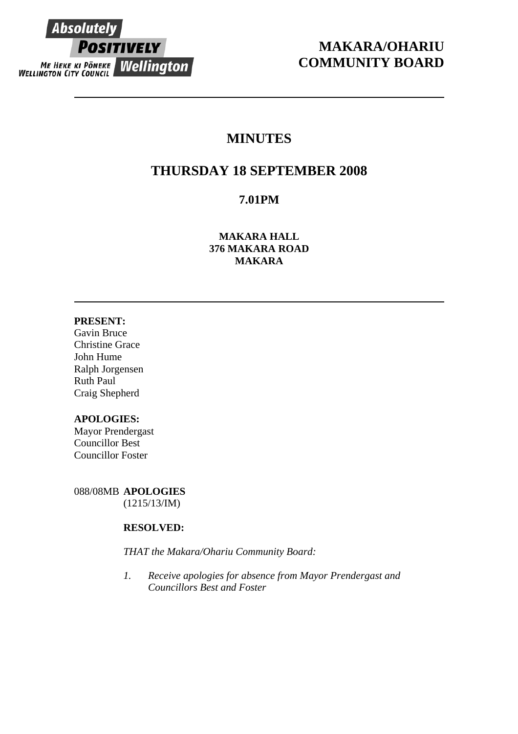

# **MAKARA/OHARIU COMMUNITY BOARD**

# **MINUTES**

# **THURSDAY 18 SEPTEMBER 2008**

# **7.01PM**

**MAKARA HALL 376 MAKARA ROAD MAKARA** 

# **PRESENT:**

Gavin Bruce Christine Grace John Hume Ralph Jorgensen Ruth Paul Craig Shepherd

# **APOLOGIES:**

Mayor Prendergast Councillor Best Councillor Foster

088/08MB **APOLOGIES** (1215/13/IM)

# **RESOLVED:**

*THAT the Makara/Ohariu Community Board:* 

*1. Receive apologies for absence from Mayor Prendergast and Councillors Best and Foster*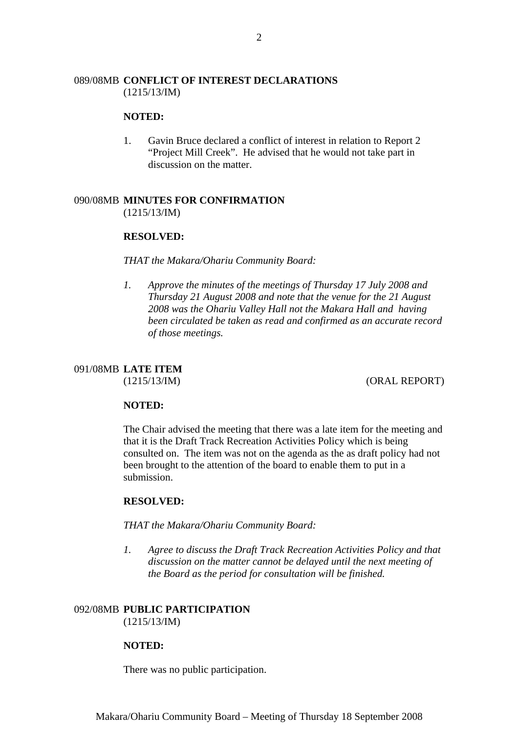## 089/08MB **CONFLICT OF INTEREST DECLARATIONS** (1215/13/IM)

#### **NOTED:**

1. Gavin Bruce declared a conflict of interest in relation to Report 2 "Project Mill Creek". He advised that he would not take part in discussion on the matter.

# 090/08MB **MINUTES FOR CONFIRMATION**

(1215/13/IM)

## **RESOLVED:**

*THAT the Makara/Ohariu Community Board:* 

*1. Approve the minutes of the meetings of Thursday 17 July 2008 and Thursday 21 August 2008 and note that the venue for the 21 August 2008 was the Ohariu Valley Hall not the Makara Hall and having been circulated be taken as read and confirmed as an accurate record of those meetings.* 

# 091/08MB **LATE ITEM**

(1215/13/IM) (ORAL REPORT)

#### **NOTED:**

The Chair advised the meeting that there was a late item for the meeting and that it is the Draft Track Recreation Activities Policy which is being consulted on. The item was not on the agenda as the as draft policy had not been brought to the attention of the board to enable them to put in a submission.

## **RESOLVED:**

*THAT the Makara/Ohariu Community Board:* 

*1. Agree to discuss the Draft Track Recreation Activities Policy and that discussion on the matter cannot be delayed until the next meeting of the Board as the period for consultation will be finished.* 

# 092/08MB **PUBLIC PARTICIPATION**

(1215/13/IM)

## **NOTED:**

There was no public participation.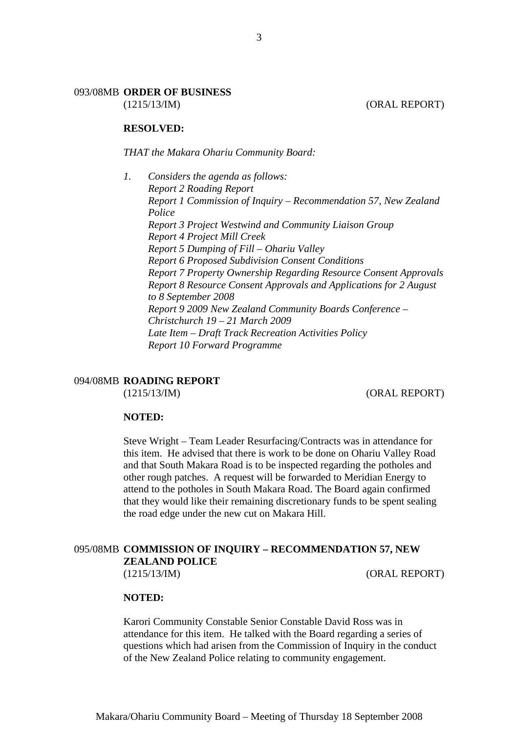# 093/08MB **ORDER OF BUSINESS**

(1215/13/IM) (ORAL REPORT)

#### **RESOLVED:**

*THAT the Makara Ohariu Community Board:* 

*1. Considers the agenda as follows: Report 2 Roading Report Report 1 Commission of Inquiry – Recommendation 57, New Zealand Police Report 3 Project Westwind and Community Liaison Group Report 4 Project Mill Creek Report 5 Dumping of Fill – Ohariu Valley Report 6 Proposed Subdivision Consent Conditions Report 7 Property Ownership Regarding Resource Consent Approvals Report 8 Resource Consent Approvals and Applications for 2 August to 8 September 2008 Report 9 2009 New Zealand Community Boards Conference – Christchurch 19 – 21 March 2009 Late Item – Draft Track Recreation Activities Policy Report 10 Forward Programme* 

# 094/08MB **ROADING REPORT**

(1215/13/IM) (ORAL REPORT)

## **NOTED:**

Steve Wright – Team Leader Resurfacing/Contracts was in attendance for this item. He advised that there is work to be done on Ohariu Valley Road and that South Makara Road is to be inspected regarding the potholes and other rough patches. A request will be forwarded to Meridian Energy to attend to the potholes in South Makara Road. The Board again confirmed that they would like their remaining discretionary funds to be spent sealing the road edge under the new cut on Makara Hill.

# 095/08MB **COMMISSION OF INQUIRY – RECOMMENDATION 57, NEW ZEALAND POLICE**

(1215/13/IM) (ORAL REPORT)

#### **NOTED:**

Karori Community Constable Senior Constable David Ross was in attendance for this item. He talked with the Board regarding a series of questions which had arisen from the Commission of Inquiry in the conduct of the New Zealand Police relating to community engagement.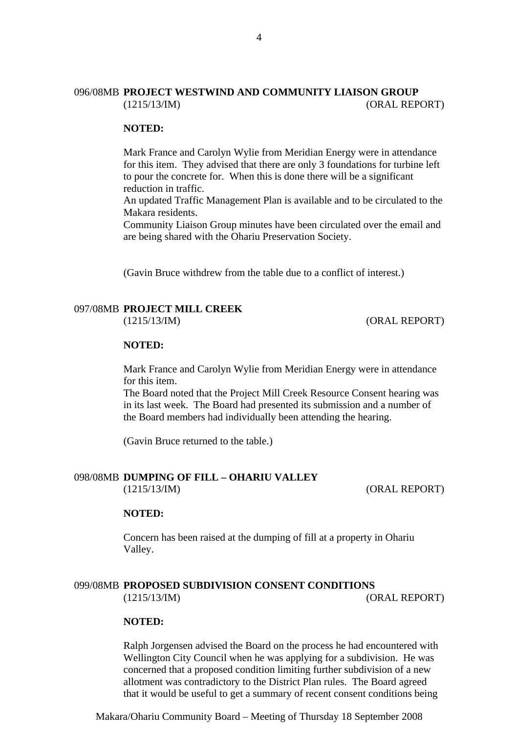# 096/08MB **PROJECT WESTWIND AND COMMUNITY LIAISON GROUP** (1215/13/IM) (ORAL REPORT)

#### **NOTED:**

Mark France and Carolyn Wylie from Meridian Energy were in attendance for this item. They advised that there are only 3 foundations for turbine left to pour the concrete for. When this is done there will be a significant reduction in traffic.

An updated Traffic Management Plan is available and to be circulated to the Makara residents.

Community Liaison Group minutes have been circulated over the email and are being shared with the Ohariu Preservation Society.

(Gavin Bruce withdrew from the table due to a conflict of interest.)

#### 097/08MB **PROJECT MILL CREEK**

(1215/13/IM) (ORAL REPORT)

#### **NOTED:**

Mark France and Carolyn Wylie from Meridian Energy were in attendance for this item.

The Board noted that the Project Mill Creek Resource Consent hearing was in its last week. The Board had presented its submission and a number of the Board members had individually been attending the hearing.

(Gavin Bruce returned to the table.)

# 098/08MB **DUMPING OF FILL – OHARIU VALLEY**

(1215/13/IM) (ORAL REPORT)

#### **NOTED:**

Concern has been raised at the dumping of fill at a property in Ohariu Valley.

#### 099/08MB **PROPOSED SUBDIVISION CONSENT CONDITIONS** (1215/13/IM) (ORAL REPORT)

#### **NOTED:**

Ralph Jorgensen advised the Board on the process he had encountered with Wellington City Council when he was applying for a subdivision. He was concerned that a proposed condition limiting further subdivision of a new allotment was contradictory to the District Plan rules. The Board agreed that it would be useful to get a summary of recent consent conditions being

Makara/Ohariu Community Board – Meeting of Thursday 18 September 2008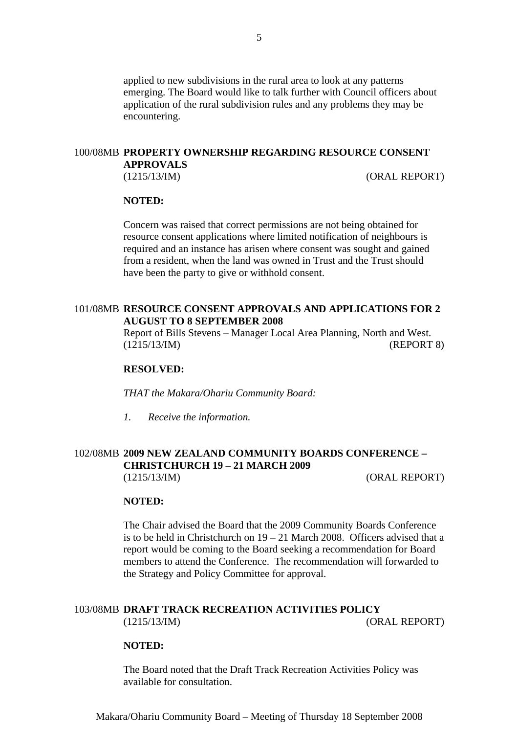applied to new subdivisions in the rural area to look at any patterns emerging. The Board would like to talk further with Council officers about application of the rural subdivision rules and any problems they may be encountering.

#### 100/08MB **PROPERTY OWNERSHIP REGARDING RESOURCE CONSENT APPROVALS**

(1215/13/IM) (ORAL REPORT)

#### **NOTED:**

Concern was raised that correct permissions are not being obtained for resource consent applications where limited notification of neighbours is required and an instance has arisen where consent was sought and gained from a resident, when the land was owned in Trust and the Trust should have been the party to give or withhold consent.

#### 101/08MB **RESOURCE CONSENT APPROVALS AND APPLICATIONS FOR 2 AUGUST TO 8 SEPTEMBER 2008**

Report of Bills Stevens – Manager Local Area Planning, North and West. (1215/13/IM) (REPORT 8)

#### **RESOLVED:**

*THAT the Makara/Ohariu Community Board:* 

*1. Receive the information.* 

# 102/08MB **2009 NEW ZEALAND COMMUNITY BOARDS CONFERENCE – CHRISTCHURCH 19 – 21 MARCH 2009** (1215/13/IM) (ORAL REPORT)

#### **NOTED:**

The Chair advised the Board that the 2009 Community Boards Conference is to be held in Christchurch on 19 – 21 March 2008. Officers advised that a report would be coming to the Board seeking a recommendation for Board members to attend the Conference. The recommendation will forwarded to the Strategy and Policy Committee for approval.

# 103/08MB **DRAFT TRACK RECREATION ACTIVITIES POLICY** (1215/13/IM) (ORAL REPORT)

#### **NOTED:**

The Board noted that the Draft Track Recreation Activities Policy was available for consultation.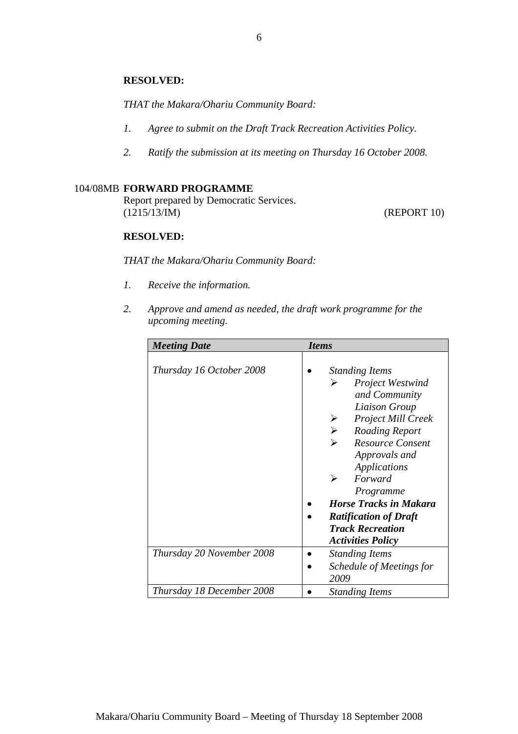## **RESOLVED:**

*THAT the Makara/Ohariu Community Board:* 

- *1. Agree to submit on the Draft Track Recreation Activities Policy.*
- *2. Ratify the submission at its meeting on Thursday 16 October 2008.*

# 104/08MB **FORWARD PROGRAMME**

Report prepared by Democratic Services. (1215/13/IM) (REPORT 10)

# **RESOLVED:**

*THAT the Makara/Ohariu Community Board:* 

- *1. Receive the information.*
- *2. Approve and amend as needed, the draft work programme for the upcoming meeting.*

| <b>Meeting Date</b>       | <i>Items</i>                                                                                                                                                                                                                                                                                   |
|---------------------------|------------------------------------------------------------------------------------------------------------------------------------------------------------------------------------------------------------------------------------------------------------------------------------------------|
| Thursday 16 October 2008  | <b>Standing Items</b><br><b>Project Westwind</b><br>➤<br>and Community<br>Liaison Group<br><b>Project Mill Creek</b><br>$\blacktriangleright$<br>Roading Report<br><b>Resource Consent</b><br>➤<br>Approvals and<br>Applications<br>➤<br>Forward<br>Programme<br><b>Horse Tracks in Makara</b> |
|                           | <b>Ratification of Draft</b>                                                                                                                                                                                                                                                                   |
|                           | <b>Track Recreation</b>                                                                                                                                                                                                                                                                        |
|                           | <b>Activities Policy</b>                                                                                                                                                                                                                                                                       |
| Thursday 20 November 2008 | <b>Standing Items</b>                                                                                                                                                                                                                                                                          |
|                           | Schedule of Meetings for                                                                                                                                                                                                                                                                       |
|                           | 2009                                                                                                                                                                                                                                                                                           |
| Thursday 18 December 2008 | <b>Standing Items</b>                                                                                                                                                                                                                                                                          |